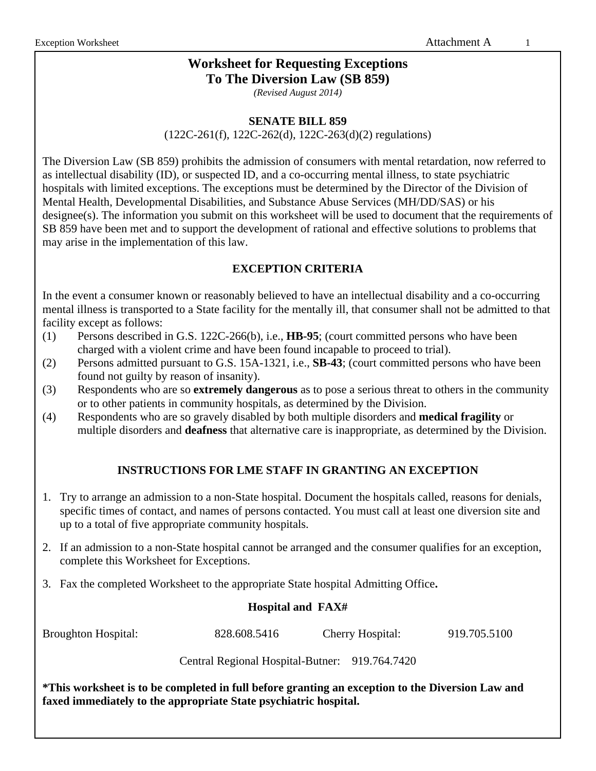# **Worksheet for Requesting Exceptions To The Diversion Law (SB 859)**

*(Revised August 2014)*

#### **SENATE BILL 859**

(122C-261(f), 122C-262(d), 122C-263(d)(2) regulations)

The Diversion Law (SB 859) prohibits the admission of consumers with mental retardation, now referred to as intellectual disability (ID), or suspected ID, and a co-occurring mental illness, to state psychiatric hospitals with limited exceptions. The exceptions must be determined by the Director of the Division of Mental Health, Developmental Disabilities, and Substance Abuse Services (MH/DD/SAS) or his designee(s). The information you submit on this worksheet will be used to document that the requirements of SB 859 have been met and to support the development of rational and effective solutions to problems that may arise in the implementation of this law.

### **EXCEPTION CRITERIA**

In the event a consumer known or reasonably believed to have an intellectual disability and a co-occurring mental illness is transported to a State facility for the mentally ill, that consumer shall not be admitted to that facility except as follows:

- (1) Persons described in G.S. 122C-266(b), i.e., **HB-95**; (court committed persons who have been charged with a violent crime and have been found incapable to proceed to trial).
- (2) Persons admitted pursuant to G.S. 15A-1321, i.e., **SB-43**; (court committed persons who have been found not guilty by reason of insanity).
- (3) Respondents who are so **extremely dangerous** as to pose a serious threat to others in the community or to other patients in community hospitals, as determined by the Division.
- (4) Respondents who are so gravely disabled by both multiple disorders and **medical fragility** or multiple disorders and **deafness** that alternative care is inappropriate, as determined by the Division.

### **INSTRUCTIONS FOR LME STAFF IN GRANTING AN EXCEPTION**

- 1. Try to arrange an admission to a non-State hospital. Document the hospitals called, reasons for denials, specific times of contact, and names of persons contacted. You must call at least one diversion site and up to a total of five appropriate community hospitals.
- 2. If an admission to a non-State hospital cannot be arranged and the consumer qualifies for an exception, complete this Worksheet for Exceptions.
- 3. Fax the completed Worksheet to the appropriate State hospital Admitting Office**.**

### **Hospital and FAX#**

Broughton Hospital: 828.608.5416 Cherry Hospital: 919.705.5100

Central Regional Hospital-Butner: 919.764.7420

**\*This worksheet is to be completed in full before granting an exception to the Diversion Law and faxed immediately to the appropriate State psychiatric hospital.**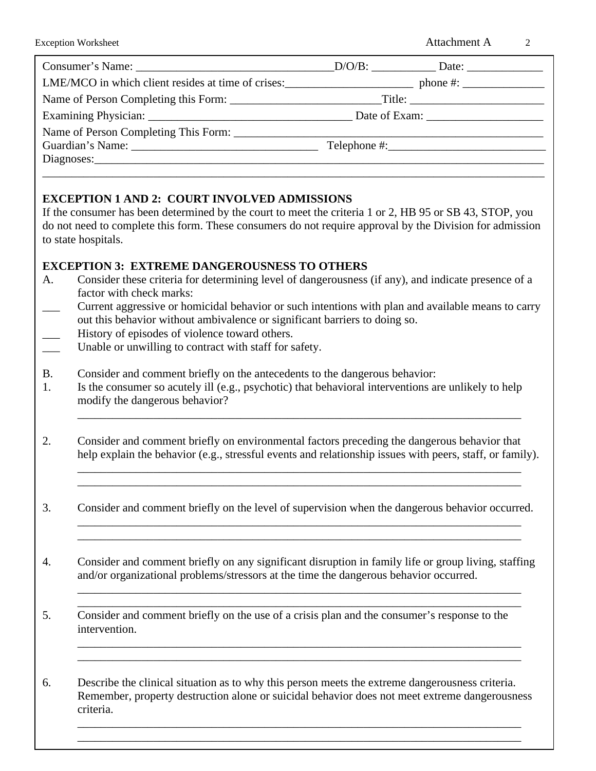## **EXCEPTION 1 AND 2: COURT INVOLVED ADMISSIONS**

If the consumer has been determined by the court to meet the criteria 1 or 2, HB 95 or SB 43, STOP, you do not need to complete this form. These consumers do not require approval by the Division for admission to state hospitals.

## **EXCEPTION 3: EXTREME DANGEROUSNESS TO OTHERS**

- A. Consider these criteria for determining level of dangerousness (if any), and indicate presence of a factor with check marks:
- \_\_\_ Current aggressive or homicidal behavior or such intentions with plan and available means to carry out this behavior without ambivalence or significant barriers to doing so.
- History of episodes of violence toward others.
- Unable or unwilling to contract with staff for safety.
- B. Consider and comment briefly on the antecedents to the dangerous behavior:
- 1. Is the consumer so acutely ill (e.g., psychotic) that behavioral interventions are unlikely to help modify the dangerous behavior?
- 2. Consider and comment briefly on environmental factors preceding the dangerous behavior that help explain the behavior (e.g., stressful events and relationship issues with peers, staff, or family).

\_\_\_\_\_\_\_\_\_\_\_\_\_\_\_\_\_\_\_\_\_\_\_\_\_\_\_\_\_\_\_\_\_\_\_\_\_\_\_\_\_\_\_\_\_\_\_\_\_\_\_\_\_\_\_\_\_\_\_\_\_\_\_\_\_\_\_\_\_\_\_\_\_\_\_\_

\_\_\_\_\_\_\_\_\_\_\_\_\_\_\_\_\_\_\_\_\_\_\_\_\_\_\_\_\_\_\_\_\_\_\_\_\_\_\_\_\_\_\_\_\_\_\_\_\_\_\_\_\_\_\_\_\_\_\_\_\_\_\_\_\_\_\_\_\_\_\_\_\_\_\_\_ \_\_\_\_\_\_\_\_\_\_\_\_\_\_\_\_\_\_\_\_\_\_\_\_\_\_\_\_\_\_\_\_\_\_\_\_\_\_\_\_\_\_\_\_\_\_\_\_\_\_\_\_\_\_\_\_\_\_\_\_\_\_\_\_\_\_\_\_\_\_\_\_\_\_\_\_

3. Consider and comment briefly on the level of supervision when the dangerous behavior occurred. \_\_\_\_\_\_\_\_\_\_\_\_\_\_\_\_\_\_\_\_\_\_\_\_\_\_\_\_\_\_\_\_\_\_\_\_\_\_\_\_\_\_\_\_\_\_\_\_\_\_\_\_\_\_\_\_\_\_\_\_\_\_\_\_\_\_\_\_\_\_\_\_\_\_\_\_

\_\_\_\_\_\_\_\_\_\_\_\_\_\_\_\_\_\_\_\_\_\_\_\_\_\_\_\_\_\_\_\_\_\_\_\_\_\_\_\_\_\_\_\_\_\_\_\_\_\_\_\_\_\_\_\_\_\_\_\_\_\_\_\_\_\_\_\_\_\_\_\_\_\_\_\_

 \_\_\_\_\_\_\_\_\_\_\_\_\_\_\_\_\_\_\_\_\_\_\_\_\_\_\_\_\_\_\_\_\_\_\_\_\_\_\_\_\_\_\_\_\_\_\_\_\_\_\_\_\_\_\_\_\_\_\_\_\_\_\_\_\_\_\_\_\_\_\_\_\_\_\_\_ \_\_\_\_\_\_\_\_\_\_\_\_\_\_\_\_\_\_\_\_\_\_\_\_\_\_\_\_\_\_\_\_\_\_\_\_\_\_\_\_\_\_\_\_\_\_\_\_\_\_\_\_\_\_\_\_\_\_\_\_\_\_\_\_\_\_\_\_\_\_\_\_\_\_\_\_

- 4. Consider and comment briefly on any significant disruption in family life or group living, staffing and/or organizational problems/stressors at the time the dangerous behavior occurred.
- 5. Consider and comment briefly on the use of a crisis plan and the consumer's response to the intervention.

6. Describe the clinical situation as to why this person meets the extreme dangerousness criteria. Remember, property destruction alone or suicidal behavior does not meet extreme dangerousness criteria.

 \_\_\_\_\_\_\_\_\_\_\_\_\_\_\_\_\_\_\_\_\_\_\_\_\_\_\_\_\_\_\_\_\_\_\_\_\_\_\_\_\_\_\_\_\_\_\_\_\_\_\_\_\_\_\_\_\_\_\_\_\_\_\_\_\_\_\_\_\_\_\_\_\_\_\_\_ \_\_\_\_\_\_\_\_\_\_\_\_\_\_\_\_\_\_\_\_\_\_\_\_\_\_\_\_\_\_\_\_\_\_\_\_\_\_\_\_\_\_\_\_\_\_\_\_\_\_\_\_\_\_\_\_\_\_\_\_\_\_\_\_\_\_\_\_\_\_\_\_\_\_\_\_

\_\_\_\_\_\_\_\_\_\_\_\_\_\_\_\_\_\_\_\_\_\_\_\_\_\_\_\_\_\_\_\_\_\_\_\_\_\_\_\_\_\_\_\_\_\_\_\_\_\_\_\_\_\_\_\_\_\_\_\_\_\_\_\_\_\_\_\_\_\_\_\_\_\_\_\_ \_\_\_\_\_\_\_\_\_\_\_\_\_\_\_\_\_\_\_\_\_\_\_\_\_\_\_\_\_\_\_\_\_\_\_\_\_\_\_\_\_\_\_\_\_\_\_\_\_\_\_\_\_\_\_\_\_\_\_\_\_\_\_\_\_\_\_\_\_\_\_\_\_\_\_\_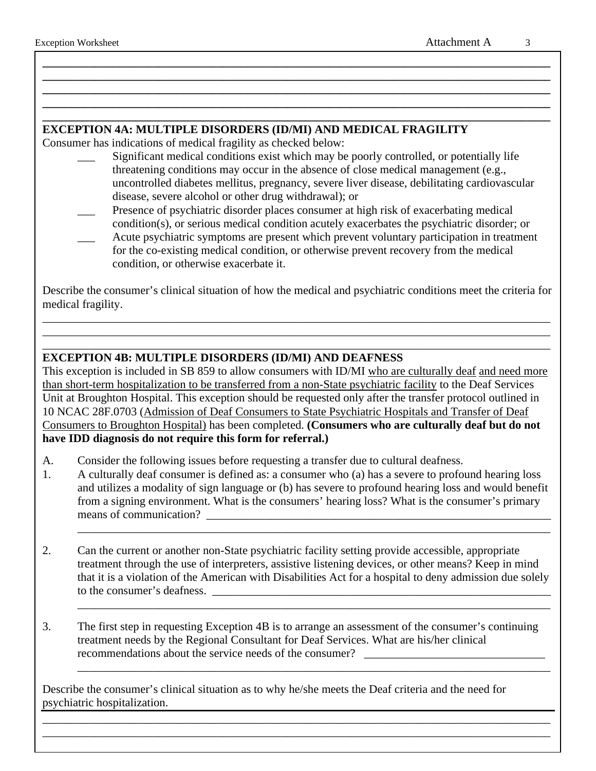## **EXCEPTION 4A: MULTIPLE DISORDERS (ID/MI) AND MEDICAL FRAGILITY**

Consumer has indications of medical fragility as checked below:

Significant medical conditions exist which may be poorly controlled, or potentially life threatening conditions may occur in the absence of close medical management (e.g., uncontrolled diabetes mellitus, pregnancy, severe liver disease, debilitating cardiovascular disease, severe alcohol or other drug withdrawal); or

**\_\_\_\_\_\_\_\_\_\_\_\_\_\_\_\_\_\_\_\_\_\_\_\_\_\_\_\_\_\_\_\_\_\_\_\_\_\_\_\_\_\_\_\_\_\_\_\_\_\_\_\_\_\_\_\_\_\_\_\_\_\_\_\_\_\_\_\_\_\_\_\_\_\_\_\_\_\_\_\_\_\_\_\_\_\_\_ \_\_\_\_\_\_\_\_\_\_\_\_\_\_\_\_\_\_\_\_\_\_\_\_\_\_\_\_\_\_\_\_\_\_\_\_\_\_\_\_\_\_\_\_\_\_\_\_\_\_\_\_\_\_\_\_\_\_\_\_\_\_\_\_\_\_\_\_\_\_\_\_\_\_\_\_\_\_\_\_\_\_\_\_\_\_\_ \_\_\_\_\_\_\_\_\_\_\_\_\_\_\_\_\_\_\_\_\_\_\_\_\_\_\_\_\_\_\_\_\_\_\_\_\_\_\_\_\_\_\_\_\_\_\_\_\_\_\_\_\_\_\_\_\_\_\_\_\_\_\_\_\_\_\_\_\_\_\_\_\_\_\_\_\_\_\_\_\_\_\_\_\_\_\_ \_\_\_\_\_\_\_\_\_\_\_\_\_\_\_\_\_\_\_\_\_\_\_\_\_\_\_\_\_\_\_\_\_\_\_\_\_\_\_\_\_\_\_\_\_\_\_\_\_\_\_\_\_\_\_\_\_\_\_\_\_\_\_\_\_\_\_\_\_\_\_\_\_\_\_\_\_\_\_\_\_\_\_\_\_\_\_ \_\_\_\_\_\_\_\_\_\_\_\_\_\_\_\_\_\_\_\_\_\_\_\_\_\_\_\_\_\_\_\_\_\_\_\_\_\_\_\_\_\_\_\_\_\_\_\_\_\_\_\_\_\_\_\_\_\_\_\_\_\_\_\_\_\_\_\_\_\_\_\_\_\_\_\_\_\_\_\_\_\_\_\_\_\_\_**

- \_\_\_ Presence of psychiatric disorder places consumer at high risk of exacerbating medical condition(s), or serious medical condition acutely exacerbates the psychiatric disorder; or Acute psychiatric symptoms are present which prevent voluntary participation in treatment
- for the co-existing medical condition, or otherwise prevent recovery from the medical condition, or otherwise exacerbate it.

Describe the consumer's clinical situation of how the medical and psychiatric conditions meet the criteria for medical fragility.

\_\_\_\_\_\_\_\_\_\_\_\_\_\_\_\_\_\_\_\_\_\_\_\_\_\_\_\_\_\_\_\_\_\_\_\_\_\_\_\_\_\_\_\_\_\_\_\_\_\_\_\_\_\_\_\_\_\_\_\_\_\_\_\_\_\_\_\_\_\_\_\_\_\_\_\_\_\_\_\_\_\_\_\_\_\_\_ \_\_\_\_\_\_\_\_\_\_\_\_\_\_\_\_\_\_\_\_\_\_\_\_\_\_\_\_\_\_\_\_\_\_\_\_\_\_\_\_\_\_\_\_\_\_\_\_\_\_\_\_\_\_\_\_\_\_\_\_\_\_\_\_\_\_\_\_\_\_\_\_\_\_\_\_\_\_\_\_\_\_\_\_\_\_\_ \_\_\_\_\_\_\_\_\_\_\_\_\_\_\_\_\_\_\_\_\_\_\_\_\_\_\_\_\_\_\_\_\_\_\_\_\_\_\_\_\_\_\_\_\_\_\_\_\_\_\_\_\_\_\_\_\_\_\_\_\_\_\_\_\_\_\_\_\_\_\_\_\_\_\_\_\_\_\_\_\_\_\_\_\_\_\_

#### **EXCEPTION 4B: MULTIPLE DISORDERS (ID/MI) AND DEAFNESS**

This exception is included in SB 859 to allow consumers with ID/MI who are culturally deaf and need more than short-term hospitalization to be transferred from a non-State psychiatric facility to the Deaf Services Unit at Broughton Hospital. This exception should be requested only after the transfer protocol outlined in 10 NCAC 28F.0703 (Admission of Deaf Consumers to State Psychiatric Hospitals and Transfer of Deaf Consumers to Broughton Hospital) has been completed. **(Consumers who are culturally deaf but do not have IDD diagnosis do not require this form for referral.)**

- A. Consider the following issues before requesting a transfer due to cultural deafness.
- 1. A culturally deaf consumer is defined as: a consumer who (a) has a severe to profound hearing loss and utilizes a modality of sign language or (b) has severe to profound hearing loss and would benefit from a signing environment. What is the consumers' hearing loss? What is the consumer's primary means of communication?

\_\_\_\_\_\_\_\_\_\_\_\_\_\_\_\_\_\_\_\_\_\_\_\_\_\_\_\_\_\_\_\_\_\_\_\_\_\_\_\_\_\_\_\_\_\_\_\_\_\_\_\_\_\_\_\_\_\_\_\_\_\_\_\_\_\_\_\_\_\_\_\_\_\_\_\_\_\_\_\_\_

\_\_\_\_\_\_\_\_\_\_\_\_\_\_\_\_\_\_\_\_\_\_\_\_\_\_\_\_\_\_\_\_\_\_\_\_\_\_\_\_\_\_\_\_\_\_\_\_\_\_\_\_\_\_\_\_\_\_\_\_\_\_\_\_\_\_\_\_\_\_\_\_\_\_\_\_\_\_\_\_\_

\_\_\_\_\_\_\_\_\_\_\_\_\_\_\_\_\_\_\_\_\_\_\_\_\_\_\_\_\_\_\_\_\_\_\_\_\_\_\_\_\_\_\_\_\_\_\_\_\_\_\_\_\_\_\_\_\_\_\_\_\_\_\_\_\_\_\_\_\_\_\_\_\_\_\_\_\_\_\_\_\_

- 2. Can the current or another non-State psychiatric facility setting provide accessible, appropriate treatment through the use of interpreters, assistive listening devices, or other means? Keep in mind that it is a violation of the American with Disabilities Act for a hospital to deny admission due solely to the consumer's deafness.
- 3. The first step in requesting Exception 4B is to arrange an assessment of the consumer's continuing treatment needs by the Regional Consultant for Deaf Services. What are his/her clinical recommendations about the service needs of the consumer?

\_\_\_\_\_\_\_\_\_\_\_\_\_\_\_\_\_\_\_\_\_\_\_\_\_\_\_\_\_\_\_\_\_\_\_\_\_\_\_\_\_\_\_\_\_\_\_\_\_\_\_\_\_\_\_\_\_\_\_\_\_\_\_\_\_\_\_\_\_\_\_\_\_\_\_\_\_\_\_\_\_\_\_\_\_\_\_ \_\_\_\_\_\_\_\_\_\_\_\_\_\_\_\_\_\_\_\_\_\_\_\_\_\_\_\_\_\_\_\_\_\_\_\_\_\_\_\_\_\_\_\_\_\_\_\_\_\_\_\_\_\_\_\_\_\_\_\_\_\_\_\_\_\_\_\_\_\_\_\_\_\_\_\_\_\_\_\_\_\_\_\_\_\_\_

Describe the consumer's clinical situation as to why he/she meets the Deaf criteria and the need for psychiatric hospitalization.